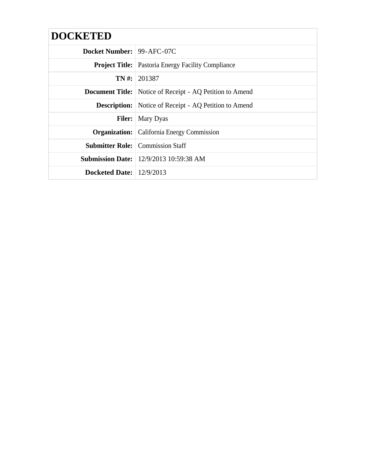| <b>DOCKETED</b>                  |                                                                 |
|----------------------------------|-----------------------------------------------------------------|
| <b>Docket Number: 99-AFC-07C</b> |                                                                 |
|                                  | <b>Project Title:</b> Pastoria Energy Facility Compliance       |
|                                  | $TN \#: 201387$                                                 |
|                                  | <b>Document Title:</b> Notice of Receipt - AQ Petition to Amend |
|                                  | <b>Description:</b> Notice of Receipt - AQ Petition to Amend    |
| <b>Filer:</b>                    | Mary Dyas                                                       |
|                                  | <b>Organization:</b> California Energy Commission               |
|                                  | <b>Submitter Role:</b> Commission Staff                         |
|                                  | <b>Submission Date:</b> 12/9/2013 10:59:38 AM                   |
| Docketed Date: $12/9/2013$       |                                                                 |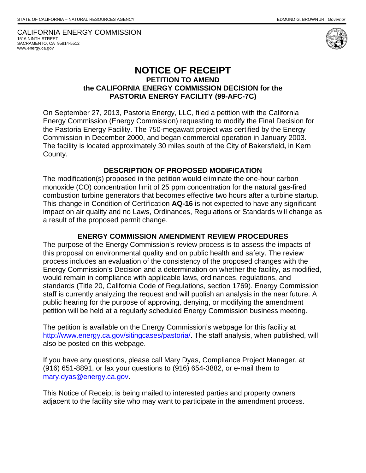CALIFORNIA ENERGY COMMISSION 1516 NINTH STREET SACRAMENTO, CA 95814-5512 www.energy.ca.gov



## **NOTICE OF RECEIPT PETITION TO AMEND**

## **the CALIFORNIA ENERGY COMMISSION DECISION for the PASTORIA ENERGY FACILITY (99-AFC-7C)**

On September 27, 2013, Pastoria Energy, LLC, filed a petition with the California Energy Commission (Energy Commission) requesting to modify the Final Decision for the Pastoria Energy Facility. The 750-megawatt project was certified by the Energy Commission in December 2000, and began commercial operation in January 2003. The facility is located approximately 30 miles south of the City of Bakersfield**,** in Kern County.

## **DESCRIPTION OF PROPOSED MODIFICATION**

The modification(s) proposed in the petition would eliminate the one-hour carbon monoxide (CO) concentration limit of 25 ppm concentration for the natural gas-fired combustion turbine generators that becomes effective two hours after a turbine startup. This change in Condition of Certification **AQ-16** is not expected to have any significant impact on air quality and no Laws, Ordinances, Regulations or Standards will change as a result of the proposed permit change.

## **ENERGY COMMISSION AMENDMENT REVIEW PROCEDURES**

The purpose of the Energy Commission's review process is to assess the impacts of this proposal on environmental quality and on public health and safety. The review process includes an evaluation of the consistency of the proposed changes with the Energy Commission's Decision and a determination on whether the facility, as modified, would remain in compliance with applicable laws, ordinances, regulations, and standards (Title 20, California Code of Regulations, section 1769). Energy Commission staff is currently analyzing the request and will publish an analysis in the near future. A public hearing for the purpose of approving, denying, or modifying the amendment petition will be held at a regularly scheduled Energy Commission business meeting.

The petition is available on the Energy Commission's webpage for this facility at http://www.energy.ca.gov/sitingcases/pastoria/. The staff analysis, when published, will also be posted on this webpage.

If you have any questions, please call Mary Dyas, Compliance Project Manager, at (916) 651-8891, or fax your questions to (916) 654-3882, or e-mail them to mary.dyas@energy.ca.gov.

This Notice of Receipt is being mailed to interested parties and property owners adjacent to the facility site who may want to participate in the amendment process.